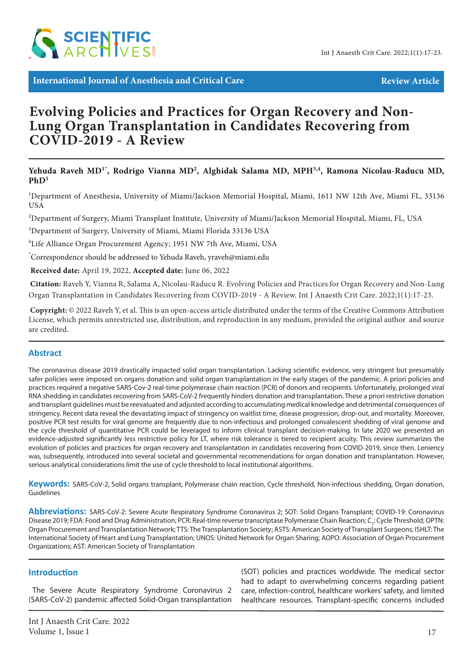

**International Journal of Anesthesia and Critical Care Review Article** Review Article

# **Evolving Policies and Practices for Organ Recovery and Non-Lung Organ Transplantation in Candidates Recovering from COVID-2019 - A Review**

### Yehuda Raveh MD<sup>1\*</sup>, Rodrigo Vianna MD<sup>2</sup>, Alghidak Salama MD, MPH<sup>3,4</sup>, Ramona Nicolau-Raducu MD,  $PhD<sup>1</sup>$

<sup>1</sup>Department of Anesthesia, University of Miami/Jackson Memorial Hospital, Miami, 1611 NW 12th Ave, Miami FL, 33136 USA

2 Department of Surgery, Miami Transplant Institute, University of Miami/Jackson Memorial Hospital, Miami, FL, USA

3 Department of Surgery, University of Miami, Miami Florida 33136 USA

4 Life Alliance Organ Procurement Agency; 1951 NW 7th Ave, Miami, USA

\* Correspondence should be addressed to Yehuda Raveh, yraveh@miami.edu

 **Received date:** April 19, 2022, **Accepted date:** June 06, 2022

**Citation:** Raveh Y, Vianna R, Salama A, Nicolau-Raducu R. Evolving Policies and Practices for Organ Recovery and Non-Lung Organ Transplantation in Candidates Recovering from COVID-2019 - A Review. Int J Anaesth Crit Care. 2022;1(1):17-23.

 **Copyright:** © 2022 Raveh Y, et al. This is an open-access article distributed under the terms of the Creative Commons Attribution License, which permits unrestricted use, distribution, and reproduction in any medium, provided the original author and source are credited.

### **Abstract**

The coronavirus disease 2019 drastically impacted solid organ transplantation. Lacking scientific evidence, very stringent but presumably safer policies were imposed on organs donation and solid organ transplantation in the early stages of the pandemic. A priori policies and practices required a negative SARS-Cov-2 real-time polymerase chain reaction (PCR) of donors and recipients. Unfortunately, prolonged viral RNA shedding in candidates recovering from SARS-CoV-2 frequently hinders donation and transplantation. These a priori restrictive donation and transplant guidelines must be reevaluated and adjusted according to accumulating medical knowledge and detrimental consequences of stringency. Recent data reveal the devastating impact of stringency on waitlist time, disease progression, drop-out, and mortality. Moreover, positive PCR test results for viral genome are frequently due to non-infectious and prolonged convalescent shedding of viral genome and the cycle threshold of quantitative PCR could be leveraged to inform clinical transplant decision-making. In late 2020 we presented an evidence-adjusted significantly less restrictive policy for LT, where risk tolerance is tiered to recipient acuity. This review summarizes the evolution of policies and practices for organ recovery and transplantation in candidates recovering from COVID-2019, since then. Leniency was, subsequently, introduced into several societal and governmental recommendations for organ donation and transplantation. However, serious analytical considerations limit the use of cycle threshold to local institutional algorithms.

**Keywords:** SARS-CoV-2, Solid organs transplant, Polymerase chain reaction, Cycle threshold, Non-infectious shedding, Organ donation, Guidelines

**Abbreviations:** SARS-CoV-2: Severe Acute Respiratory Syndrome Coronavirus 2; SOT: Solid Organs Transplant; COVID-19: Coronavirus Disease 2019; FDA: Food and Drug Administration; PCR: Real-time reverse transcriptase Polymerase Chain Reaction; C<sub>r</sub>: Cycle Threshold; OPTN: Organ Procurement and Transplantation Network; TTS: The Transplantation Society; ASTS: American Society of Transplant Surgeons; ISHLT: The International Society of Heart and Lung Transplantation; UNOS: United Network for Organ Sharing; AOPO: Association of Organ Procurement Organizations; AST: American Society of Transplantation

### **Introduction**

The Severe Acute Respiratory Syndrome Coronavirus 2 (SARS-CoV-2) pandemic affected Solid-Organ transplantation (SOT) policies and practices worldwide. The medical sector had to adapt to overwhelming concerns regarding patient care, infection-control, healthcare workers' safety, and limited healthcare resources. Transplant-specific concerns included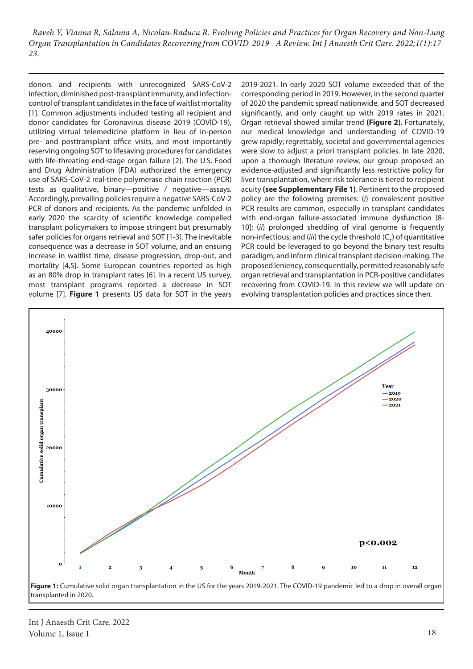donors and recipients with unrecognized SARS-CoV-2 infection, diminished post-transplant immunity, and infectioncontrol of transplant candidates in the face of waitlist mortality [1]. Common adjustments included testing all recipient and donor candidates for Coronavirus disease 2019 (COVID-19), utilizing virtual telemedicine platform in lieu of in-person pre- and posttransplant office visits, and most importantly reserving ongoing SOT to lifesaving procedures for candidates with life-threating end-stage organ failure [2]. The U.S. Food and Drug Administration (FDA) authorized the emergency use of SARS-CoV-2 real-time polymerase chain reaction (PCR) tests as qualitative, binary—positive / negative—assays. Accordingly, prevailing policies require a negative SARS-CoV-2 PCR of donors and recipients. As the pandemic unfolded in early 2020 the scarcity of scientific knowledge compelled transplant policymakers to impose stringent but presumably safer policies for organs retrieval and SOT [1-3]. The inevitable consequence was a decrease in SOT volume, and an ensuing increase in waitlist time, disease progression, drop-out, and mortality [4,5]. Some European countries reported as high as an 80% drop in transplant rates [6]. In a recent US survey, most transplant programs reported a decrease in SOT volume [7]. **Figure 1** presents US data for SOT in the years 2019-2021. In early 2020 SOT volume exceeded that of the corresponding period in 2019. However, in the second quarter of 2020 the pandemic spread nationwide, and SOT decreased significantly, and only caught up with 2019 rates in 2021. Organ retrieval showed similar trend **(Figure 2)**. Fortunately, our medical knowledge and understanding of COVID-19 grew rapidly; regrettably, societal and governmental agencies were slow to adjust a priori transplant policies. In late 2020, upon a thorough literature review, our group proposed an evidence-adjusted and significantly less restrictive policy for liver transplantation, where risk tolerance is tiered to recipient acuity **(see Supplementary File 1)**. Pertinent to the proposed policy are the following premises: (*i*) convalescent positive PCR results are common, especially in transplant candidates with end-organ failure-associated immune dysfunction [8- 10]; (*ii*) prolonged shedding of viral genome is frequently non-infectious; and (*iii*) the cycle threshold ( $C_{\tau}$ ) of quantitative PCR could be leveraged to go beyond the binary test results paradigm, and inform clinical transplant decision-making. The proposed leniency, consequentially, permitted reasonably safe organ retrieval and transplantation in PCR-positive candidates recovering from COVID-19. In this review we will update on evolving transplantation policies and practices since then.



Int J Anaesth Crit Care. 2022 Volume 1, Issue 1 18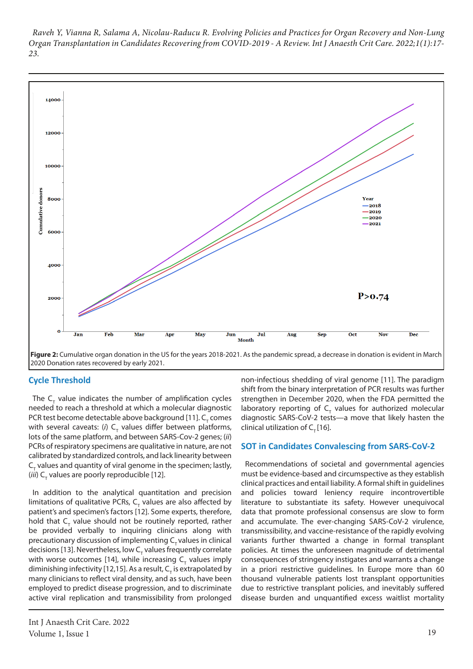

**Figure 2:** Cumulative organ donation in the US for the years 2018-2021. As the pandemic spread, a decrease in donation is evident in March 2020 Donation rates recovered by early 2021.

### **Cycle Threshold**

The  $\mathsf{C}_{_{\mathsf{T}}}$  value indicates the number of amplification cycles needed to reach a threshold at which a molecular diagnostic PCR test become detectable above background [11].  $C_{\tau}$  comes with several caveats: (*i*) C<sub>T</sub> values differ between platforms, lots of the same platform, and between SARS-Cov-2 genes; (*ii*) PCRs of respiratory specimens are qualitative in nature, are not calibrated by standardized controls, and lack linearity between  $C_{\tau}$  values and quantity of viral genome in the specimen; lastly, (*iii*) C<sub>T</sub> values are poorly reproducible [12].

In addition to the analytical quantitation and precision limitations of qualitative PCRs,  $C_{T}$  values are also affected by patient's and specimen's factors [12]. Some experts, therefore, hold that  $C_{\tau}$  value should not be routinely reported, rather be provided verbally to inquiring clinicians along with precautionary discussion of implementing  $C<sub>r</sub>$  values in clinical decisions [13]. Nevertheless, low C<sub>T</sub> values frequently correlate with worse outcomes [14], while increasing  $\mathsf{C}_{_{\mathsf{T}}}$  values imply diminishing infectivity [12,15]. As a result, C<sub>T</sub> is extrapolated by many clinicians to reflect viral density, and as such, have been employed to predict disease progression, and to discriminate active viral replication and transmissibility from prolonged

non-infectious shedding of viral genome [11]. The paradigm shift from the binary interpretation of PCR results was further strengthen in December 2020, when the FDA permitted the laboratory reporting of  $C_{\tau}$  values for authorized molecular diagnostic SARS-CoV-2 tests—a move that likely hasten the clinical utilization of  $C_r$  [16].

#### **SOT in Candidates Convalescing from SARS-CoV-2**

Recommendations of societal and governmental agencies must be evidence-based and circumspective as they establish clinical practices and entail liability. A formal shift in guidelines and policies toward leniency require incontrovertible literature to substantiate its safety. However unequivocal data that promote professional consensus are slow to form and accumulate. The ever-changing SARS-CoV-2 virulence, transmissibility, and vaccine-resistance of the rapidly evolving variants further thwarted a change in formal transplant policies. At times the unforeseen magnitude of detrimental consequences of stringency instigates and warrants a change in a priori restrictive guidelines. In Europe more than 60 thousand vulnerable patients lost transplant opportunities due to restrictive transplant policies, and inevitably suffered disease burden and unquantified excess waitlist mortality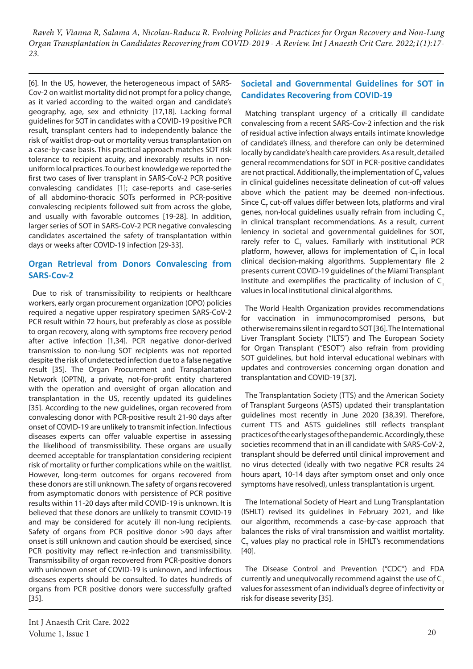[6]. In the US, however, the heterogeneous impact of SARS-Cov-2 on waitlist mortality did not prompt for a policy change, as it varied according to the waited organ and candidate's geography, age, sex and ethnicity [17,18]. Lacking formal guidelines for SOT in candidates with a COVID-19 positive PCR result, transplant centers had to independently balance the risk of waitlist drop-out or mortality versus transplantation on a case-by-case basis. This practical approach matches SOT risk tolerance to recipient acuity, and inexorably results in nonuniform local practices. To our best knowledge we reported the first two cases of liver transplant in SARS-CoV-2 PCR positive convalescing candidates [1]; case-reports and case-series of all abdomino-thoracic SOTs performed in PCR-positive convalescing recipients followed suit from across the globe, and usually with favorable outcomes [19-28]. In addition, larger series of SOT in SARS-CoV-2 PCR negative convalescing candidates ascertained the safety of transplantation within days or weeks after COVID-19 infection [29-33].

# **Organ Retrieval from Donors Convalescing from SARS-Cov-2**

Due to risk of transmissibility to recipients or healthcare workers, early organ procurement organization (OPO) policies required a negative upper respiratory specimen SARS-CoV-2 PCR result within 72 hours, but preferably as close as possible to organ recovery, along with symptoms free recovery period after active infection [1,34]. PCR negative donor-derived transmission to non-lung SOT recipients was not reported despite the risk of undetected infection due to a false negative result [35]. The Organ Procurement and Transplantation Network (OPTN), a private, not-for-profit entity chartered with the operation and oversight of organ allocation and transplantation in the US, recently updated its guidelines [35]. According to the new quidelines, organ recovered from convalescing donor with PCR-positive result 21-90 days after onset of COVID-19 are unlikely to transmit infection. Infectious diseases experts can offer valuable expertise in assessing the likelihood of transmissibility. These organs are usually deemed acceptable for transplantation considering recipient risk of mortality or further complications while on the waitlist. However, long-term outcomes for organs recovered from these donors are still unknown. The safety of organs recovered from asymptomatic donors with persistence of PCR positive results within 11-20 days after mild COVID-19 is unknown. It is believed that these donors are unlikely to transmit COVID-19 and may be considered for acutely ill non-lung recipients. Safety of organs from PCR positive donor >90 days after onset is still unknown and caution should be exercised, since PCR positivity may reflect re-infection and transmissibility. Transmissibility of organ recovered from PCR-positive donors with unknown onset of COVID-19 is unknown, and infectious diseases experts should be consulted. To dates hundreds of organs from PCR positive donors were successfully grafted [35].

# **Societal and Governmental Guidelines for SOT in Candidates Recovering from COVID-19**

Matching transplant urgency of a critically ill candidate convalescing from a recent SARS-Cov-2 infection and the risk of residual active infection always entails intimate knowledge of candidate's illness, and therefore can only be determined locally by candidate's health care providers. As a result, detailed general recommendations for SOT in PCR-positive candidates are not practical. Additionally, the implementation of  $C_{\tau}$  values in clinical guidelines necessitate delineation of cut-off values above which the patient may be deemed non-infectious. Since  $C_{T}$  cut-off values differ between lots, platforms and viral genes, non-local guidelines usually refrain from including  $C_T$ in clinical transplant recommendations. As a result, current leniency in societal and governmental guidelines for SOT, rarely refer to  $C_{\tau}$  values. Familiarly with institutional PCR platform, however, allows for implementation of  $C<sub>r</sub>$  in local clinical decision-making algorithms. Supplementary file 2 presents current COVID-19 guidelines of the Miami Transplant Institute and exemplifies the practicality of inclusion of  $C<sub>+</sub>$ values in local institutional clinical algorithms.

The World Health Organization provides recommendations for vaccination in immunocompromised persons, but otherwise remains silent in regard to SOT [36]. The International Liver Transplant Society ("ILTS") and The European Society for Organ Transplant ("ESOT") also refrain from providing SOT guidelines, but hold interval educational webinars with updates and controversies concerning organ donation and transplantation and COVID-19 [37].

The Transplantation Society (TTS) and the American Society of Transplant Surgeons (ASTS) updated their transplantation guidelines most recently in June 2020 [38,39]. Therefore, current TTS and ASTS guidelines still reflects transplant practices of the early stages of the pandemic. Accordingly, these societies recommend that in an ill candidate with SARS-CoV-2, transplant should be deferred until clinical improvement and no virus detected (ideally with two negative PCR results 24 hours apart, 10-14 days after symptom onset and only once symptoms have resolved), unless transplantation is urgent.

The International Society of Heart and Lung Transplantation (ISHLT) revised its guidelines in February 2021, and like our algorithm, recommends a case-by-case approach that balances the risks of viral transmission and waitlist mortality.  $C_{T}$  values play no practical role in ISHLT's recommendations [40].

The Disease Control and Prevention ("CDC") and FDA currently and unequivocally recommend against the use of  $C<sub>z</sub>$ values for assessment of an individual's degree of infectivity or risk for disease severity [35].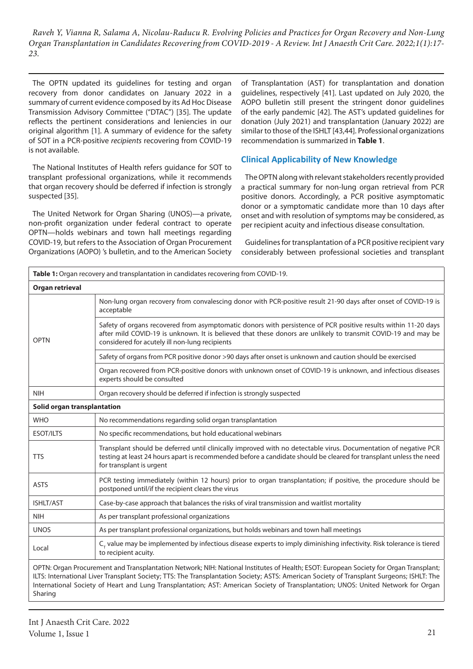The OPTN updated its guidelines for testing and organ recovery from donor candidates on January 2022 in a summary of current evidence composed by its Ad Hoc Disease Transmission Advisory Committee ("DTAC") [35]. The update reflects the pertinent considerations and leniencies in our original algorithm [1]. A summary of evidence for the safety of SOT in a PCR-positive *recipients* recovering from COVID-19 is not available.

The National Institutes of Health refers guidance for SOT to transplant professional organizations, while it recommends that organ recovery should be deferred if infection is strongly suspected [35].

The United Network for Organ Sharing (UNOS)—a private, non-profit organization under federal contract to operate OPTN—holds webinars and town hall meetings regarding COVID-19, but refers to the Association of Organ Procurement Organizations (AOPO) 's bulletin, and to the American Society of Transplantation (AST) for transplantation and donation guidelines, respectively [41]. Last updated on July 2020, the AOPO bulletin still present the stringent donor guidelines of the early pandemic [42]. The AST's updated guidelines for donation (July 2021) and transplantation (January 2022) are similar to those of the ISHLT [43,44]. Professional organizations recommendation is summarized in **Table 1**.

## **Clinical Applicability of New Knowledge**

The OPTN along with relevant stakeholders recently provided a practical summary for non-lung organ retrieval from PCR positive donors. Accordingly, a PCR positive asymptomatic donor or a symptomatic candidate more than 10 days after onset and with resolution of symptoms may be considered, as per recipient acuity and infectious disease consultation.

Guidelines for transplantation of a PCR positive recipient vary considerably between professional societies and transplant

| Organ retrieval             |                                                                                                                                                                                                                                                                                   |
|-----------------------------|-----------------------------------------------------------------------------------------------------------------------------------------------------------------------------------------------------------------------------------------------------------------------------------|
|                             |                                                                                                                                                                                                                                                                                   |
| <b>OPTN</b>                 | Non-lung organ recovery from convalescing donor with PCR-positive result 21-90 days after onset of COVID-19 is<br>acceptable                                                                                                                                                      |
|                             | Safety of organs recovered from asymptomatic donors with persistence of PCR positive results within 11-20 days<br>after mild COVID-19 is unknown. It is believed that these donors are unlikely to transmit COVID-19 and may be<br>considered for acutely ill non-lung recipients |
|                             | Safety of organs from PCR positive donor >90 days after onset is unknown and caution should be exercised                                                                                                                                                                          |
|                             | Organ recovered from PCR-positive donors with unknown onset of COVID-19 is unknown, and infectious diseases<br>experts should be consulted                                                                                                                                        |
| <b>NIH</b>                  | Organ recovery should be deferred if infection is strongly suspected                                                                                                                                                                                                              |
| Solid organ transplantation |                                                                                                                                                                                                                                                                                   |
| <b>WHO</b>                  | No recommendations regarding solid organ transplantation                                                                                                                                                                                                                          |
| <b>ESOT/ILTS</b>            | No specific recommendations, but hold educational webinars                                                                                                                                                                                                                        |
| <b>TTS</b>                  | Transplant should be deferred until clinically improved with no detectable virus. Documentation of negative PCR<br>testing at least 24 hours apart is recommended before a candidate should be cleared for transplant unless the need<br>for transplant is urgent                 |
| <b>ASTS</b>                 | PCR testing immediately (within 12 hours) prior to organ transplantation; if positive, the procedure should be<br>postponed until/if the recipient clears the virus                                                                                                               |
| ISHLT/AST                   | Case-by-case approach that balances the risks of viral transmission and waitlist mortality                                                                                                                                                                                        |
| <b>NIH</b>                  | As per transplant professional organizations                                                                                                                                                                                                                                      |
| <b>UNOS</b>                 | As per transplant professional organizations, but holds webinars and town hall meetings                                                                                                                                                                                           |
| Local                       | C <sub>r</sub> value may be implemented by infectious disease experts to imply diminishing infectivity. Risk tolerance is tiered<br>to recipient acuity.                                                                                                                          |

Sharing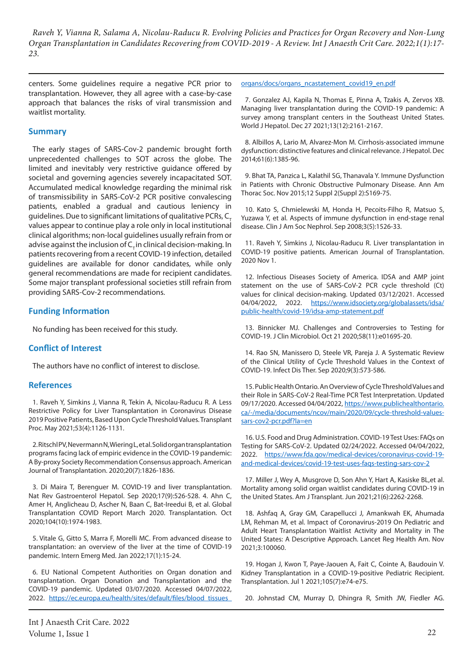centers. Some guidelines require a negative PCR prior to transplantation. However, they all agree with a case-by-case approach that balances the risks of viral transmission and waitlist mortality.

#### **Summary**

The early stages of SARS-Cov-2 pandemic brought forth unprecedented challenges to SOT across the globe. The limited and inevitably very restrictive guidance offered by societal and governing agencies severely incapacitated SOT. Accumulated medical knowledge regarding the minimal risk of transmissibility in SARS-CoV-2 PCR positive convalescing patients, enabled a gradual and cautious leniency in guidelines. Due to significant limitations of qualitative PCRs, C. values appear to continue play a role only in local institutional clinical algorithms; non-local guidelines usually refrain from or advise against the inclusion of  $C<sub>1</sub>$  in clinical decision-making. In patients recovering from a recent COVID-19 infection, detailed guidelines are available for donor candidates, while only general recommendations are made for recipient candidates. Some major transplant professional societies still refrain from providing SARS-Cov-2 recommendations.

### **Funding Information**

No funding has been received for this study.

### **Conflict of Interest**

The authors have no conflict of interest to disclose.

#### **References**

1. Raveh Y, Simkins J, Vianna R, Tekin A, Nicolau-Raducu R. A Less Restrictive Policy for Liver Transplantation in Coronavirus Disease 2019 Positive Patients, Based Upon Cycle Threshold Values. Transplant Proc. May 2021;53(4):1126-1131.

2. Ritschl PV, Nevermann N, Wiering L, et al. Solid organ transplantation programs facing lack of empiric evidence in the COVID-19 pandemic: A By-proxy Society Recommendation Consensus approach. American Journal of Transplantation. 2020;20(7):1826-1836.

3. Di Maira T, Berenguer M. COVID-19 and liver transplantation. Nat Rev Gastroenterol Hepatol. Sep 2020;17(9):526-528. 4. Ahn C, Amer H, Anglicheau D, Ascher N, Baan C, Bat-Ireedui B, et al. Global Transplantation COVID Report March 2020. Transplantation. Oct 2020;104(10):1974-1983.

5. Vitale G, Gitto S, Marra F, Morelli MC. From advanced disease to transplantation: an overview of the liver at the time of COVID-19 pandemic. Intern Emerg Med. Jan 2022;17(1):15-24.

6. EU National Competent Authorities on Organ donation and transplantation. Organ Donation and Transplantation and the COVID-19 pandemic. Updated 03/07/2020. Accessed 04/07/2022, 2022. https://ec.europa.eu/health/sites/default/files/blood\_tissues

Int J Anaesth Crit Care. 2022 Volume 1, Issue 1 22

#### [organs/docs/organs\\_ncastatement\\_covid19\\_en.pdf](https://ec.europa.eu/health/sites/default/files/blood_tissues_organs/docs/organs_ncastatement_covid19_en.pdf)

7. Gonzalez AJ, Kapila N, Thomas E, Pinna A, Tzakis A, Zervos XB. Managing liver transplantation during the COVID-19 pandemic: A survey among transplant centers in the Southeast United States. World J Hepatol. Dec 27 2021;13(12):2161-2167.

8. Albillos A, Lario M, Alvarez-Mon M. Cirrhosis-associated immune dysfunction: distinctive features and clinical relevance. J Hepatol. Dec 2014;61(6):1385-96.

9. Bhat TA, Panzica L, Kalathil SG, Thanavala Y. Immune Dysfunction in Patients with Chronic Obstructive Pulmonary Disease. Ann Am Thorac Soc. Nov 2015;12 Suppl 2(Suppl 2):S169-75.

10. Kato S, Chmielewski M, Honda H, Pecoits-Filho R, Matsuo S, Yuzawa Y, et al. Aspects of immune dysfunction in end-stage renal disease. Clin J Am Soc Nephrol. Sep 2008;3(5):1526-33.

11. Raveh Y, Simkins J, Nicolau-Raducu R. Liver transplantation in COVID-19 positive patients. American Journal of Transplantation. 2020 Nov 1.

12. Infectious Diseases Society of America. IDSA and AMP joint statement on the use of SARS-CoV-2 PCR cycle threshold (Ct) values for clinical decision-making. Updated 03/12/2021. Accessed 04/04/2022, 2022. [https://www.idsociety.org/globalassets/idsa/](https://www.idsociety.org/globalassets/idsa/public-health/covid-19/idsa-amp-statement.pdf) [public-health/covid-19/idsa-amp-statement.pdf](https://www.idsociety.org/globalassets/idsa/public-health/covid-19/idsa-amp-statement.pdf)

13. Binnicker MJ. Challenges and Controversies to Testing for COVID-19. J Clin Microbiol. Oct 21 2020;58(11):e01695-20.

14. Rao SN, Manissero D, Steele VR, Pareja J. A Systematic Review of the Clinical Utility of Cycle Threshold Values in the Context of COVID-19. Infect Dis Ther. Sep 2020;9(3):573-586.

15. Public Health Ontario. An Overview of Cycle Threshold Values and their Role in SARS-CoV-2 Real-Time PCR Test Interpretation. Updated 09/17/2020. Accessed 04/04/2022, [https://www.publichealthontario.](https://www.publichealthontario.ca/-/media/documents/ncov/main/2020/09/cycle-threshold-values-sars-cov2-pcr.pdf?la=en) [ca/-/media/documents/ncov/main/2020/09/cycle-threshold-values](https://www.publichealthontario.ca/-/media/documents/ncov/main/2020/09/cycle-threshold-values-sars-cov2-pcr.pdf?la=en)[sars-cov2-pcr.pdf?la=en](https://www.publichealthontario.ca/-/media/documents/ncov/main/2020/09/cycle-threshold-values-sars-cov2-pcr.pdf?la=en)

16. U.S. Food and Drug Administration. COVID-19 Test Uses: FAQs on Testing for SARS-CoV-2. Updated 02/24/2022. Accessed 04/04/2022, 2022. [https://www.fda.gov/medical-devices/coronavirus-covid-19](https://www.fda.gov/medical-devices/coronavirus-covid-19-and-medical-devices/covid-19-test-uses-faqs-testing-sars-cov-2) [and-medical-devices/covid-19-test-uses-faqs-testing-sars-cov-2](https://www.fda.gov/medical-devices/coronavirus-covid-19-and-medical-devices/covid-19-test-uses-faqs-testing-sars-cov-2)

17. Miller J, Wey A, Musgrove D, Son Ahn Y, Hart A, Kasiske BL,et al. Mortality among solid organ waitlist candidates during COVID-19 in the United States. Am J Transplant. Jun 2021;21(6):2262-2268.

18. Ashfaq A, Gray GM, Carapellucci J, Amankwah EK, Ahumada LM, Rehman M, et al. Impact of Coronavirus-2019 On Pediatric and Adult Heart Transplantation Waitlist Activity and Mortality in The United States: A Descriptive Approach. Lancet Reg Health Am. Nov 2021;3:100060.

19. Hogan J, Kwon T, Paye-Jaouen A, Fait C, Cointe A, Baudouin V. Kidney Transplantation in a COVID-19-positive Pediatric Recipient. Transplantation. Jul 1 2021;105(7):e74-e75.

20. Johnstad CM, Murray D, Dhingra R, Smith JW, Fiedler AG.